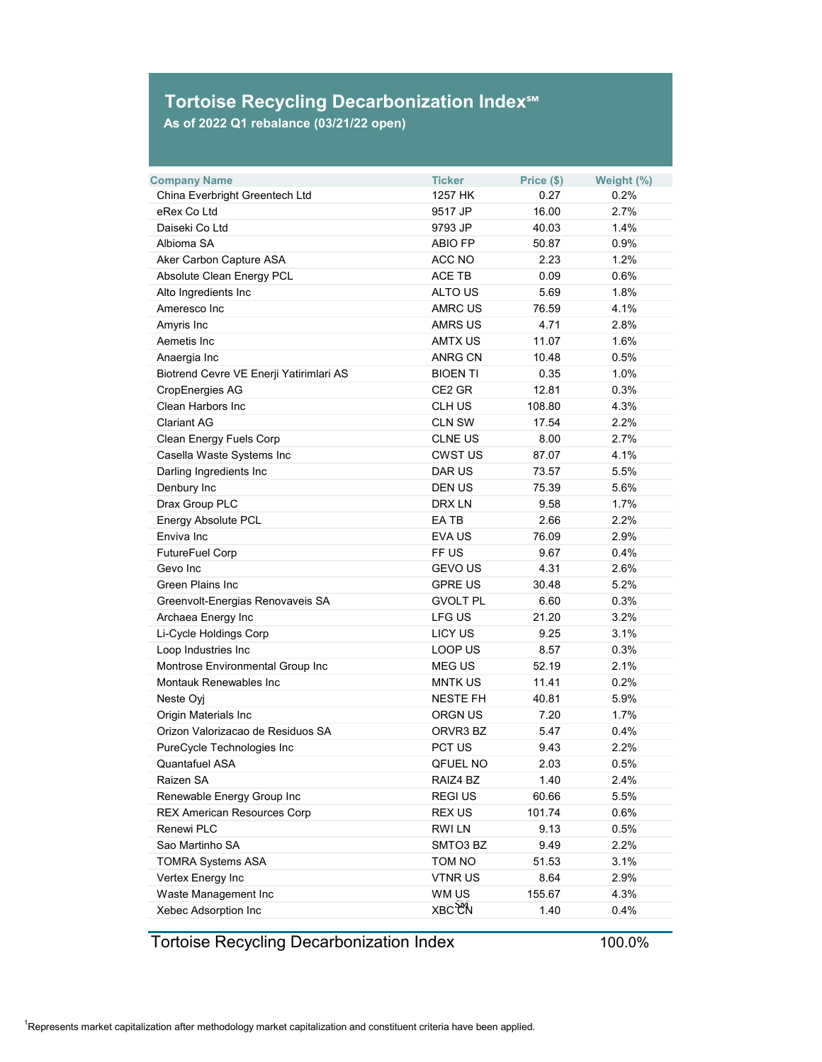## **Tortoise Recycling Decarbonization Index℠**

**As of 2022 Q1 rebalance (03/21/22 open)**

| <b>Company Name</b>                     | <b>Ticker</b>   | Price (\$) | Weight (%) |
|-----------------------------------------|-----------------|------------|------------|
| China Everbright Greentech Ltd          | 1257 HK         | 0.27       | 0.2%       |
| eRex Co Ltd                             | 9517 JP         | 16.00      | 2.7%       |
| Daiseki Co Ltd                          | 9793 JP         | 40.03      | 1.4%       |
| Albioma SA                              | <b>ABIO FP</b>  | 50.87      | 0.9%       |
| Aker Carbon Capture ASA                 | ACC NO          | 2.23       | 1.2%       |
| <b>Absolute Clean Energy PCL</b>        | <b>ACE TB</b>   | 0.09       | 0.6%       |
| Alto Ingredients Inc                    | <b>ALTO US</b>  | 5.69       | 1.8%       |
| Ameresco Inc                            | <b>AMRC US</b>  | 76.59      | 4.1%       |
| Amyris Inc                              | <b>AMRS US</b>  | 4.71       | 2.8%       |
| Aemetis Inc                             | <b>AMTX US</b>  | 11.07      | 1.6%       |
| Anaergia Inc                            | <b>ANRG CN</b>  | 10.48      | 0.5%       |
| Biotrend Cevre VE Enerji Yatirimlari AS | <b>BIOEN TI</b> | 0.35       | 1.0%       |
| <b>CropEnergies AG</b>                  | CE2 GR          | 12.81      | 0.3%       |
| <b>Clean Harbors Inc</b>                | <b>CLH US</b>   | 108.80     | 4.3%       |
| <b>Clariant AG</b>                      | <b>CLN SW</b>   | 17.54      | 2.2%       |
| <b>Clean Energy Fuels Corp</b>          | <b>CLNE US</b>  | 8.00       | 2.7%       |
| Casella Waste Systems Inc               | <b>CWST US</b>  | 87.07      | 4.1%       |
| Darling Ingredients Inc                 | <b>DAR US</b>   | 73.57      | 5.5%       |
| Denbury Inc                             | <b>DEN US</b>   | 75.39      | 5.6%       |
| Drax Group PLC                          | <b>DRX LN</b>   | 9.58       | 1.7%       |
| <b>Energy Absolute PCL</b>              | EA TB           | 2.66       | 2.2%       |
| Enviva Inc                              | <b>EVA US</b>   | 76.09      | 2.9%       |
| <b>FutureFuel Corp</b>                  | FF US           | 9.67       | 0.4%       |
| Gevo Inc                                | <b>GEVO US</b>  | 4.31       | 2.6%       |
| <b>Green Plains Inc</b>                 | <b>GPRE US</b>  | 30.48      | 5.2%       |
| Greenvolt-Energias Renovaveis SA        | <b>GVOLT PL</b> | 6.60       | 0.3%       |
| Archaea Energy Inc                      | <b>LFG US</b>   | 21.20      | 3.2%       |
| Li-Cycle Holdings Corp                  | <b>LICY US</b>  | 9.25       | 3.1%       |
| Loop Industries Inc                     | LOOP US         | 8.57       | 0.3%       |
| Montrose Environmental Group Inc        | <b>MEG US</b>   | 52.19      | 2.1%       |
| <b>Montauk Renewables Inc</b>           | <b>MNTK US</b>  | 11.41      | 0.2%       |
| Neste Oyj                               | <b>NESTE FH</b> | 40.81      | 5.9%       |
| <b>Origin Materials Inc</b>             | <b>ORGN US</b>  | 7.20       | 1.7%       |
| Orizon Valorizacao de Residuos SA       | ORVR3 BZ        | 5.47       | 0.4%       |
| PureCycle Technologies Inc              | PCT US          | 9.43       | 2.2%       |
| <b>Quantafuel ASA</b>                   | <b>QFUEL NO</b> | 2.03       | 0.5%       |
| Raizen SA                               | RAIZ4 BZ        | 1.40       | 2.4%       |
| Renewable Energy Group Inc              | <b>REGIUS</b>   | 60.66      | 5.5%       |
| <b>REX American Resources Corp</b>      | <b>REX US</b>   | 101.74     | 0.6%       |
| <b>Renewi PLC</b>                       | <b>RWILN</b>    | 9.13       | 0.5%       |
| Sao Martinho SA                         | SMTO3 BZ        | 9.49       | 2.2%       |
| <b>TOMRA Systems ASA</b>                | <b>TOM NO</b>   | 51.53      | 3.1%       |
| Vertex Energy Inc                       | <b>VTNRUS</b>   | 8.64       | 2.9%       |
| Waste Management Inc                    | WM US           | 155.67     | 4.3%       |
| Xebec Adsorption Inc                    | <b>XBC CN</b>   | 1.40       | 0.4%       |

Tortoise Recycling Decarbonization Index

100.0%

 $^{\rm 1}$ Represents market capitalization after methodology market capitalization and constituent criteria have been applied.